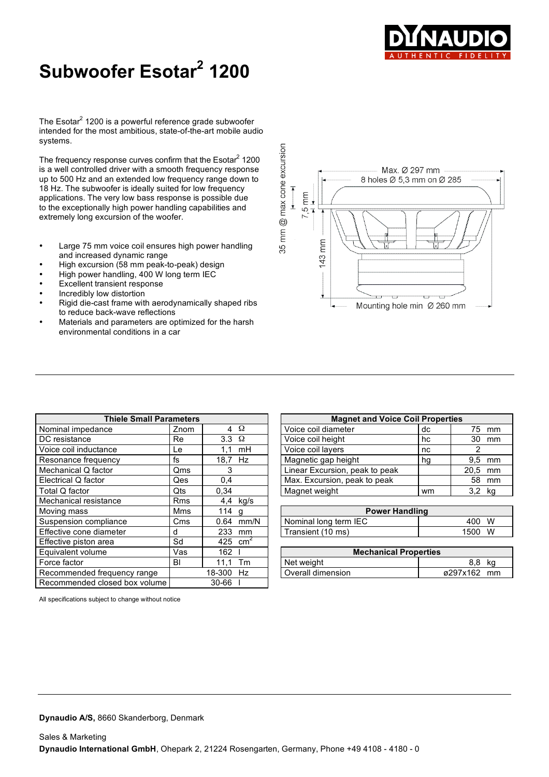

## **Subwoofer Esotar <sup>2</sup> 1200**

The Esotar<sup>2</sup> 1200 is a powerful reference grade subwoofer intended for the most ambitious, state-of-the-art mobile audio systems.

The frequency response curves confirm that the Esotar $^2$  1200 is a well controlled driver with a smooth frequency response up to 500 Hz and an extended low frequency range down to 18 Hz. The subwoofer is ideally suited for low frequency applications. The very low bass response is possible due to the exceptionally high power handling capabilities and extremely long excursion of the woofer.

- Large 75 mm voice coil ensures high power handling and increased dynamic range
- High excursion (58 mm peak-to-peak) design
- High power handling, 400 W long term IEC
- **Excellent transient response**
- Incredibly low distortion
- Rigid die-cast frame with aerodynamically shaped ribs to reduce back-wave reflections
- Materials and parameters are optimized for the harsh environmental conditions in a car

|                                       | Max. Ø 297 mm<br>8 holes Ø 5,3 mm on Ø 285 |
|---------------------------------------|--------------------------------------------|
| $\overline{\bullet}$<br>$7,5$ mm<br>┸ |                                            |
| 35 mm @ max cone excu<br>$143$ mm     | ø                                          |
|                                       | Mounting hole min Ø 260 mm                 |

 $sin$ 

| <b>Thiele Small Parameters</b> |            |                  |               | <b>Magnet and Voice Coil Properties</b> |    |          |        |
|--------------------------------|------------|------------------|---------------|-----------------------------------------|----|----------|--------|
| Nominal impedance              | Znom       |                  | $4 \Omega$    | Voice coil diameter                     | dc | 75       | mm     |
| DC resistance                  | Re         | 3.3 <sub>2</sub> | Ω             | Voice coil height                       | hc | 30       | mm     |
| Voice coil inductance          | Le         | 1,1              | mH            | Voice coil lavers                       | nc |          |        |
| Resonance frequency            | fs         | 18,7 Hz          |               | Magnetic gap height                     | hg | 9,5      | mm     |
| Mechanical Q factor            | Qms        | 3                |               | Linear Excursion, peak to peak          |    | 20.5     | mm     |
| Electrical Q factor            | <b>Qes</b> | 0.4              |               | Max. Excursion, peak to peak            |    | 58       | mm     |
| Total Q factor                 | Qts        | 0,34             |               | Magnet weight                           | wm |          | 3,2 kg |
| Mechanical resistance          | <b>Rms</b> |                  | 4,4 kg/s      |                                         |    |          |        |
| Moving mass                    | Mms        | 114 $g$          |               | <b>Power Handling</b>                   |    |          |        |
| Suspension compliance          | Cms        | 0.64             | mm/N          | Nominal long term IEC                   |    | 400      | W      |
| Effective cone diameter        | d          | 233              | mm            | Transient (10 ms)                       |    | 1500     | W      |
| Effective piston area          | Sd         | 425              | $\text{cm}^2$ |                                         |    |          |        |
| Equivalent volume              | Vas        | 162              |               | <b>Mechanical Properties</b>            |    |          |        |
| Force factor                   | BI         | 11.1             | Tm            | Net weight                              |    | 8.8      | kg     |
| Recommended frequency range    |            | 18-300           | Hz            | Overall dimension                       |    | ø297x162 | mm     |
| Recommended closed box volume  |            | 30-66            |               |                                         |    |          |        |

| <b>Thiele Small Parameters</b> |      | <b>Magnet and Voice Coil Properties</b> |                                |    |      |       |
|--------------------------------|------|-----------------------------------------|--------------------------------|----|------|-------|
| cе                             | Znom | 4Ω                                      | Voice coil diameter            | dc | 75   | mm    |
|                                | Re   | $3.3 \Omega$                            | Voice coil height              | hc | 30   | mm    |
| nce                            | Le   | mH<br>11                                | Voice coil layers              | nc |      |       |
| encv                           | ts   | 18.7 Hz                                 | Magnetic gap height            | hg | 9.5  | mm    |
| tor                            | Qms  |                                         | Linear Excursion, peak to peak |    | 20.5 | mm    |
|                                | Qes  | 0,4                                     | Max. Excursion, peak to peak   |    |      | 58 mm |
|                                | Qts  | 0.34                                    | Magnet weight                  | wm | 3,2  | kg    |

| <b>Power Handling</b> |            |  |  |  |  |  |
|-----------------------|------------|--|--|--|--|--|
| Nominal long term IEC | - W<br>400 |  |  |  |  |  |
| Transient (10 ms)     | W<br>1500  |  |  |  |  |  |

| <b>Mechanical Properties</b> |             |  |  |  |  |  |  |
|------------------------------|-------------|--|--|--|--|--|--|
| Net weight                   | 8.8 ka      |  |  |  |  |  |  |
| Overall dimension            | ø297x162 mm |  |  |  |  |  |  |

All specifications subject to change without notice

**Dynaudio A/S,** 8660 Skanderborg, Denmark